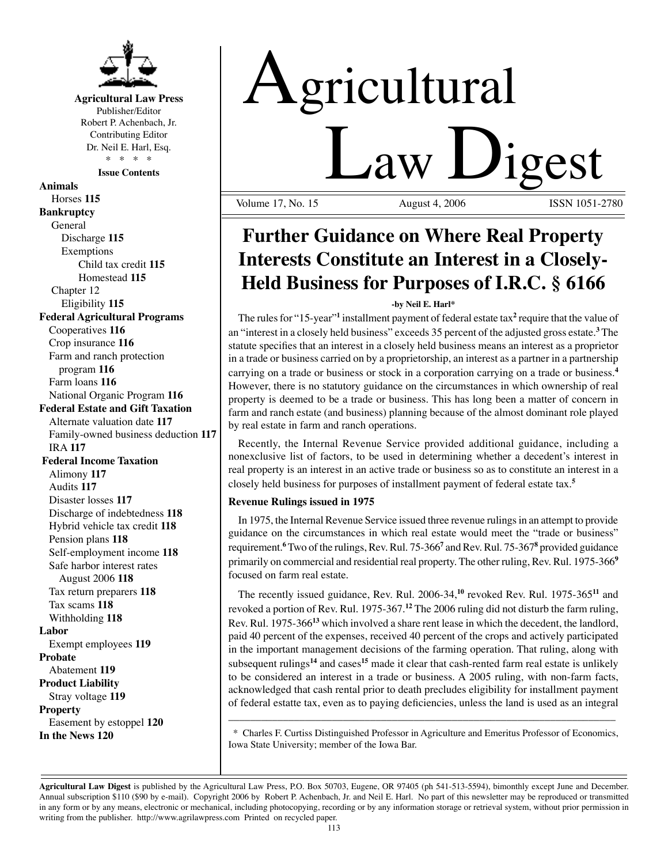

**Agricultural Law Press** Publisher/Editor Robert P. Achenbach, Jr. Contributing Editor Dr. Neil E. Harl, Esq. \* \* \* \*

**Issue Contents**

**Animals** Horses **115 Bankruptcy** General Discharge **115** Exemptions Child tax credit **115** Homestead **115** Chapter 12 Eligibility **115 Federal Agricultural Programs** Cooperatives **116** Crop insurance **116** Farm and ranch protection program **116** Farm loans **116** National Organic Program **116 Federal Estate and Gift Taxation** Alternate valuation date **117** Family-owned business deduction **117** IRA **117 Federal Income Taxation** Alimony **117** Audits **117** Disaster losses **117** Discharge of indebtedness **118** Hybrid vehicle tax credit **118** Pension plans **118** Self-employment income **118** Safe harbor interest rates August 2006 **118** Tax return preparers **118** Tax scams **118** Withholding **118 Labor** Exempt employees **119 Probate** Abatement **119 Product Liability** Stray voltage **119 Property** Easement by estoppel **120 In the News 120**

# Agricultural **Law Digest**

Volume 17, No. 15

## **Further Guidance on Where Real Property Interests Constitute an Interest in a Closely-Held Business for Purposes of I.R.C. § 6166**

#### **-by Neil E. Harl\***

The rules for "15-year"<sup>1</sup> installment payment of federal estate tax<sup>2</sup> require that the value of an "interest in a closely held business" exceeds 35 percent of the adjusted gross estate.**<sup>3</sup>** The statute specifies that an interest in a closely held business means an interest as a proprietor in a trade or business carried on by a proprietorship, an interest as a partner in a partnership carrying on a trade or business or stock in a corporation carrying on a trade or business.**<sup>4</sup>** However, there is no statutory guidance on the circumstances in which ownership of real property is deemed to be a trade or business. This has long been a matter of concern in farm and ranch estate (and business) planning because of the almost dominant role played by real estate in farm and ranch operations.

Recently, the Internal Revenue Service provided additional guidance, including a nonexclusive list of factors, to be used in determining whether a decedent's interest in real property is an interest in an active trade or business so as to constitute an interest in a closely held business for purposes of installment payment of federal estate tax.**<sup>5</sup>**

### **Revenue Rulings issued in 1975**

In 1975, the Internal Revenue Service issued three revenue rulings in an attempt to provide guidance on the circumstances in which real estate would meet the "trade or business" requirement.<sup>6</sup> Two of the rulings, Rev. Rul. 75-366<sup>7</sup> and Rev. Rul. 75-367<sup>8</sup> provided guidance primarily on commercial and residential real property. The other ruling, Rev. Rul. 1975-366**<sup>9</sup>** focused on farm real estate.

The recently issued guidance, Rev. Rul. 2006-34,**<sup>10</sup>** revoked Rev. Rul. 1975-365**<sup>11</sup>** and revoked a portion of Rev. Rul. 1975-367.**<sup>12</sup>** The 2006 ruling did not disturb the farm ruling, Rev. Rul. 1975-366**<sup>13</sup>** which involved a share rent lease in which the decedent, the landlord, paid 40 percent of the expenses, received 40 percent of the crops and actively participated in the important management decisions of the farming operation. That ruling, along with subsequent rulings**<sup>14</sup>** and cases**<sup>15</sup>** made it clear that cash-rented farm real estate is unlikely to be considered an interest in a trade or business. A 2005 ruling, with non-farm facts, acknowledged that cash rental prior to death precludes eligibility for installment payment of federal estatte tax, even as to paying deficiencies, unless the land is used as an integral

\_\_\_\_\_\_\_\_\_\_\_\_\_\_\_\_\_\_\_\_\_\_\_\_\_\_\_\_\_\_\_\_\_\_\_\_\_\_\_\_\_\_\_\_\_\_\_\_\_\_\_\_\_\_\_\_\_\_\_\_\_\_\_\_\_\_\_\_\_\_\_ \* Charles F. Curtiss Distinguished Professor in Agriculture and Emeritus Professor of Economics, Iowa State University; member of the Iowa Bar.

**Agricultural Law Digest** is published by the Agricultural Law Press, P.O. Box 50703, Eugene, OR 97405 (ph 541-513-5594), bimonthly except June and December. Annual subscription \$110 (\$90 by e-mail). Copyright 2006 by Robert P. Achenbach, Jr. and Neil E. Harl. No part of this newsletter may be reproduced or transmitted in any form or by any means, electronic or mechanical, including photocopying, recording or by any information storage or retrieval system, without prior permission in writing from the publisher. http://www.agrilawpress.com Printed on recycled paper.